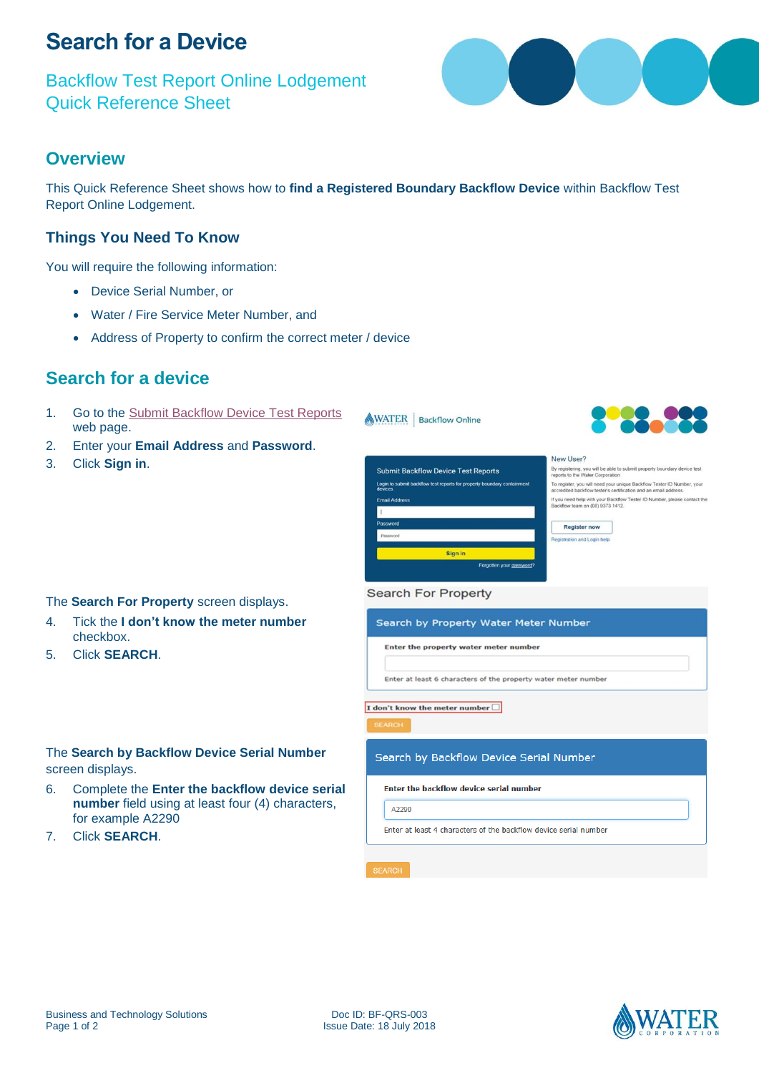# **Search for a Device**

Backflow Test Report Online Lodgement Quick Reference Sheet

## **Overview**

This Quick Reference Sheet shows how to **find a Registered Boundary Backflow Device** within Backflow Test Report Online Lodgement.

### **Things You Need To Know**

You will require the following information:

- Device Serial Number, or
- Water / Fire Service Meter Number, and
- Address of Property to confirm the correct meter / device

## **Search for a device**

- 1. Go to the [Submit Backflow Device Test Reports](https://backflow.watercorporation.com.au/) web page.
- 2. Enter your **Email Address** and **Password**.
- 3. Click **Sign in**.



#### The **Search For Property** screen displays.

- 4. Tick the **I don't know the meter number** checkbox.
- 5. Click **SEARCH**.

#### The **Search by Backflow Device Serial Number** screen displays.

- 6. Complete the **Enter the backflow device serial number** field using at least four (4) characters, for example A2290
- 7. Click **SEARCH**.

|                                         | Enter at least 6 characters of the property water meter number |
|-----------------------------------------|----------------------------------------------------------------|
|                                         |                                                                |
|                                         |                                                                |
|                                         |                                                                |
|                                         |                                                                |
|                                         |                                                                |
|                                         |                                                                |
|                                         |                                                                |
| I don't know the meter number $\square$ |                                                                |

#### Search by Backflow Device Serial Number

Enter the backflow device serial number

Fotos the execute weter motor more combo

A2290

Enter at least 4 characters of the backflow device serial number